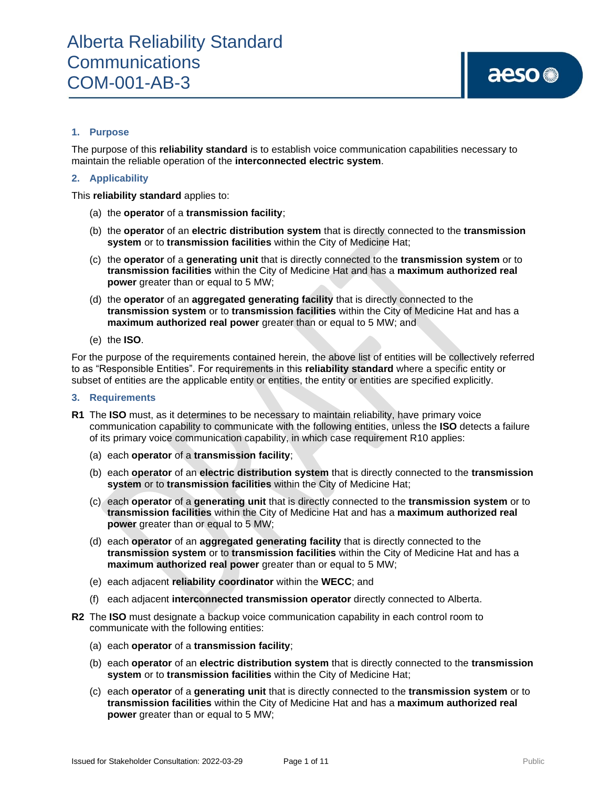#### **1. Purpose**

The purpose of this **reliability standard** is to establish voice communication capabilities necessary to maintain the reliable operation of the **interconnected electric system**.

#### **2. Applicability**

This **reliability standard** applies to:

- (a) the **operator** of a **transmission facility**;
- (b) the **operator** of an **electric distribution system** that is directly connected to the **transmission system** or to **transmission facilities** within the City of Medicine Hat;
- (c) the **operator** of a **generating unit** that is directly connected to the **transmission system** or to **transmission facilities** within the City of Medicine Hat and has a **maximum authorized real power** greater than or equal to 5 MW;
- (d) the **operator** of an **aggregated generating facility** that is directly connected to the **transmission system** or to **transmission facilities** within the City of Medicine Hat and has a **maximum authorized real power** greater than or equal to 5 MW; and
- (e) the **ISO**.

For the purpose of the requirements contained herein, the above list of entities will be collectively referred to as "Responsible Entities". For requirements in this **reliability standard** where a specific entity or subset of entities are the applicable entity or entities, the entity or entities are specified explicitly.

#### **3. Requirements**

- **R1** The **ISO** must, as it determines to be necessary to maintain reliability, have primary voice communication capability to communicate with the following entities, unless the **ISO** detects a failure of its primary voice communication capability, in which case requirement R10 applies:
	- (a) each **operator** of a **transmission facility**;
	- (b) each **operator** of an **electric distribution system** that is directly connected to the **transmission system** or to **transmission facilities** within the City of Medicine Hat;
	- (c) each **operator** of a **generating unit** that is directly connected to the **transmission system** or to **transmission facilities** within the City of Medicine Hat and has a **maximum authorized real power** greater than or equal to 5 MW;
	- (d) each **operator** of an **aggregated generating facility** that is directly connected to the **transmission system** or to **transmission facilities** within the City of Medicine Hat and has a **maximum authorized real power** greater than or equal to 5 MW;
	- (e) each adjacent **reliability coordinator** within the **WECC**; and
	- (f) each adjacent **interconnected transmission operator** directly connected to Alberta.
- **R2** The **ISO** must designate a backup voice communication capability in each control room to communicate with the following entities:
	- (a) each **operator** of a **transmission facility**;
	- (b) each **operator** of an **electric distribution system** that is directly connected to the **transmission system** or to **transmission facilities** within the City of Medicine Hat;
	- (c) each **operator** of a **generating unit** that is directly connected to the **transmission system** or to **transmission facilities** within the City of Medicine Hat and has a **maximum authorized real power** greater than or equal to 5 MW;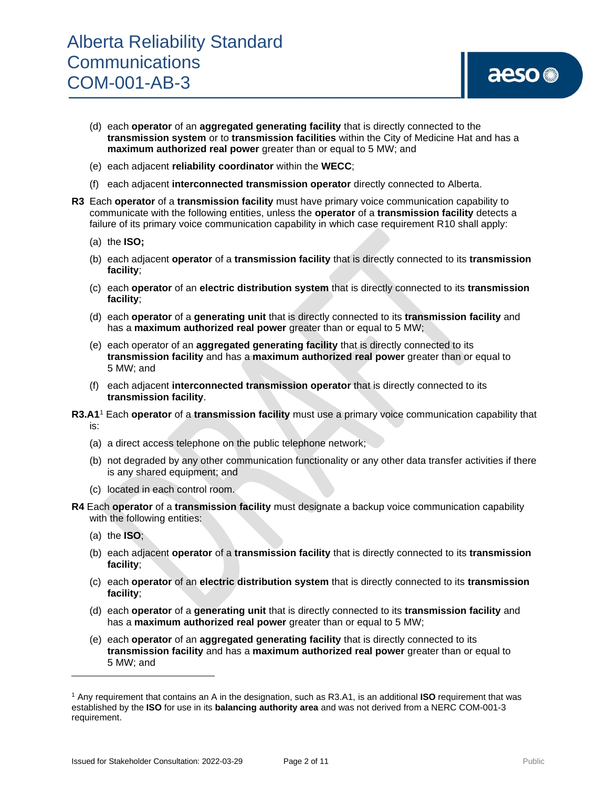## aeso<sup>®</sup>

- (d) each **operator** of an **aggregated generating facility** that is directly connected to the **transmission system** or to **transmission facilities** within the City of Medicine Hat and has a **maximum authorized real power** greater than or equal to 5 MW; and
- (e) each adjacent **reliability coordinator** within the **WECC**;
- (f) each adjacent **interconnected transmission operator** directly connected to Alberta.
- **R3** Each **operator** of a **transmission facility** must have primary voice communication capability to communicate with the following entities, unless the **operator** of a **transmission facility** detects a failure of its primary voice communication capability in which case requirement R10 shall apply:
	- (a) the **ISO;**
	- (b) each adjacent **operator** of a **transmission facility** that is directly connected to its **transmission facility**;
	- (c) each **operator** of an **electric distribution system** that is directly connected to its **transmission facility**;
	- (d) each **operator** of a **generating unit** that is directly connected to its **transmission facility** and has a **maximum authorized real power** greater than or equal to 5 MW;
	- (e) each operator of an **aggregated generating facility** that is directly connected to its **transmission facility** and has a **maximum authorized real power** greater than or equal to 5 MW; and
	- (f) each adjacent **interconnected transmission operator** that is directly connected to its **transmission facility**.
- **R3.A1** <sup>1</sup> Each **operator** of a **transmission facility** must use a primary voice communication capability that is:
	- (a) a direct access telephone on the public telephone network;
	- (b) not degraded by any other communication functionality or any other data transfer activities if there is any shared equipment; and
	- (c) located in each control room.
- **R4** Each **operator** of a **transmission facility** must designate a backup voice communication capability with the following entities:
	- (a) the **ISO**;
	- (b) each adjacent **operator** of a **transmission facility** that is directly connected to its **transmission facility**;
	- (c) each **operator** of an **electric distribution system** that is directly connected to its **transmission facility**;
	- (d) each **operator** of a **generating unit** that is directly connected to its **transmission facility** and has a **maximum authorized real power** greater than or equal to 5 MW;
	- (e) each **operator** of an **aggregated generating facility** that is directly connected to its **transmission facility** and has a **maximum authorized real power** greater than or equal to 5 MW; and

<sup>1</sup> Any requirement that contains an A in the designation, such as R3.A1, is an additional **ISO** requirement that was established by the **ISO** for use in its **balancing authority area** and was not derived from a NERC COM-001-3 requirement.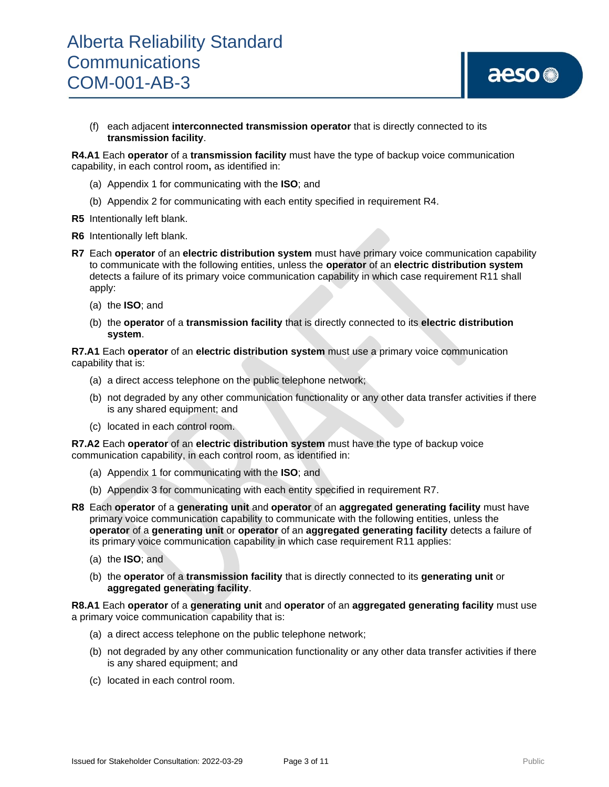

(f) each adjacent **interconnected transmission operator** that is directly connected to its **transmission facility**.

**R4.A1** Each **operator** of a **transmission facility** must have the type of backup voice communication capability, in each control room**,** as identified in:

- (a) Appendix 1 for communicating with the **ISO**; and
- (b) Appendix 2 for communicating with each entity specified in requirement R4.
- **R5** Intentionally left blank.
- **R6** Intentionally left blank.
- **R7** Each **operator** of an **electric distribution system** must have primary voice communication capability to communicate with the following entities, unless the **operator** of an **electric distribution system** detects a failure of its primary voice communication capability in which case requirement R11 shall apply:
	- (a) the **ISO**; and
	- (b) the **operator** of a **transmission facility** that is directly connected to its **electric distribution system**.

**R7.A1** Each **operator** of an **electric distribution system** must use a primary voice communication capability that is:

- (a) a direct access telephone on the public telephone network;
- (b) not degraded by any other communication functionality or any other data transfer activities if there is any shared equipment; and
- (c) located in each control room.

**R7.A2** Each **operator** of an **electric distribution system** must have the type of backup voice communication capability, in each control room, as identified in:

- (a) Appendix 1 for communicating with the **ISO**; and
- (b) Appendix 3 for communicating with each entity specified in requirement R7.
- **R8** Each **operator** of a **generating unit** and **operator** of an **aggregated generating facility** must have primary voice communication capability to communicate with the following entities, unless the **operator** of a **generating unit** or **operator** of an **aggregated generating facility** detects a failure of its primary voice communication capability in which case requirement R11 applies:
	- (a) the **ISO**; and
	- (b) the **operator** of a **transmission facility** that is directly connected to its **generating unit** or **aggregated generating facility**.

**R8.A1** Each **operator** of a **generating unit** and **operator** of an **aggregated generating facility** must use a primary voice communication capability that is:

- (a) a direct access telephone on the public telephone network;
- (b) not degraded by any other communication functionality or any other data transfer activities if there is any shared equipment; and
- (c) located in each control room.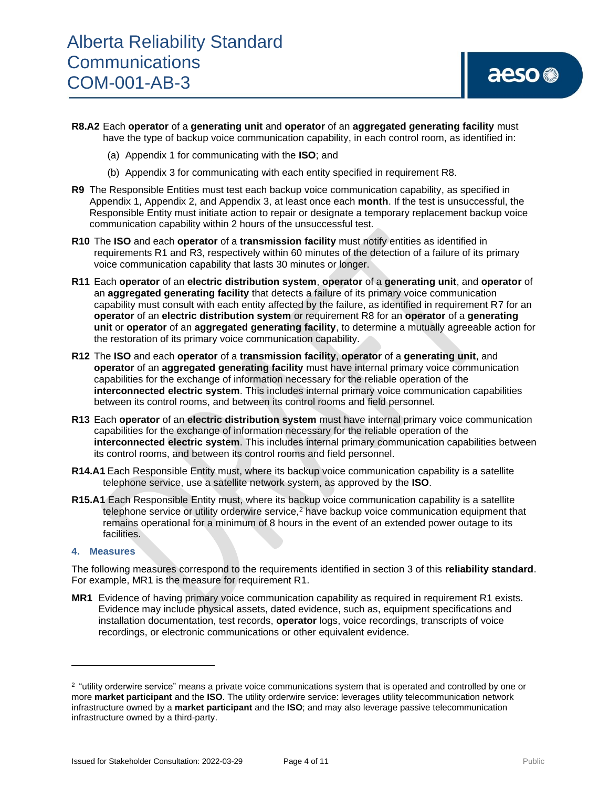- **R8.A2** Each **operator** of a **generating unit** and **operator** of an **aggregated generating facility** must have the type of backup voice communication capability, in each control room, as identified in:
	- (a) Appendix 1 for communicating with the **ISO**; and
	- (b) Appendix 3 for communicating with each entity specified in requirement R8.
- **R9** The Responsible Entities must test each backup voice communication capability, as specified in Appendix 1, Appendix 2, and Appendix 3, at least once each **month**. If the test is unsuccessful, the Responsible Entity must initiate action to repair or designate a temporary replacement backup voice communication capability within 2 hours of the unsuccessful test*.*
- **R10** The **ISO** and each **operator** of a **transmission facility** must notify entities as identified in requirements R1 and R3, respectively within 60 minutes of the detection of a failure of its primary voice communication capability that lasts 30 minutes or longer.
- **R11** Each **operator** of an **electric distribution system**, **operator** of a **generating unit**, and **operator** of an **aggregated generating facility** that detects a failure of its primary voice communication capability must consult with each entity affected by the failure, as identified in requirement R7 for an **operator** of an **electric distribution system** or requirement R8 for an **operator** of a **generating unit** or **operator** of an **aggregated generating facility**, to determine a mutually agreeable action for the restoration of its primary voice communication capability.
- **R12** The **ISO** and each **operator** of a **transmission facility**, **operator** of a **generating unit**, and **operator** of an **aggregated generating facility** must have internal primary voice communication capabilities for the exchange of information necessary for the reliable operation of the **interconnected electric system**. This includes internal primary voice communication capabilities between its control rooms, and between its control rooms and field personnel*.*
- **R13** Each **operator** of an **electric distribution system** must have internal primary voice communication capabilities for the exchange of information necessary for the reliable operation of the **interconnected electric system**. This includes internal primary communication capabilities between its control rooms, and between its control rooms and field personnel.
- **R14.A1** Each Responsible Entity must, where its backup voice communication capability is a satellite telephone service, use a satellite network system, as approved by the **ISO**.
- **R15.A1** Each Responsible Entity must, where its backup voice communication capability is a satellite telephone service or utility orderwire service, $<sup>2</sup>$  have backup voice communication equipment that</sup> remains operational for a minimum of 8 hours in the event of an extended power outage to its facilities.

#### **4. Measures**

The following measures correspond to the requirements identified in section 3 of this **reliability standard**. For example, MR1 is the measure for requirement R1.

**MR1** Evidence of having primary voice communication capability as required in requirement R1 exists. Evidence may include physical assets, dated evidence, such as, equipment specifications and installation documentation, test records, **operator** logs, voice recordings, transcripts of voice recordings, or electronic communications or other equivalent evidence.

<sup>&</sup>lt;sup>2</sup> "utility orderwire service" means a private voice communications system that is operated and controlled by one or more **market participant** and the **ISO**. The utility orderwire service: leverages utility telecommunication network infrastructure owned by a **market participant** and the **ISO**; and may also leverage passive telecommunication infrastructure owned by a third-party.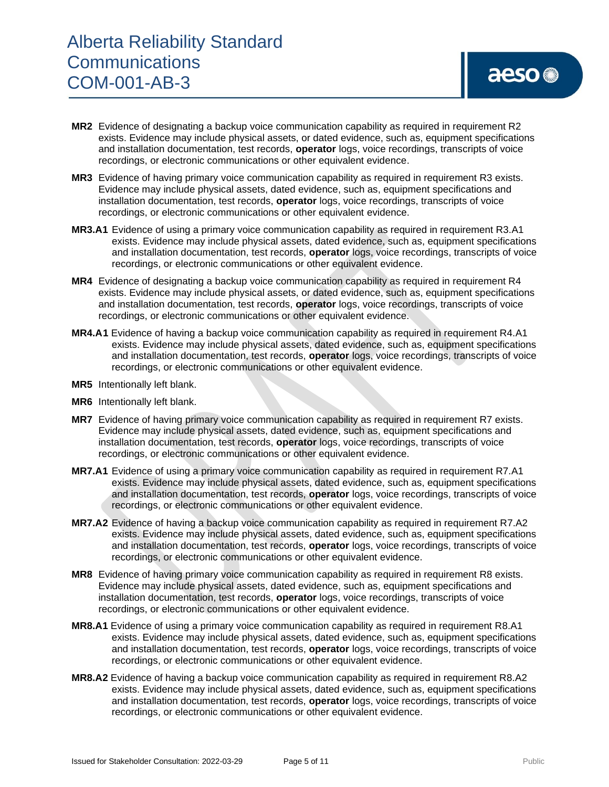- **MR2** Evidence of designating a backup voice communication capability as required in requirement R2 exists. Evidence may include physical assets, or dated evidence, such as, equipment specifications and installation documentation, test records, **operator** logs, voice recordings, transcripts of voice recordings, or electronic communications or other equivalent evidence.
- **MR3** Evidence of having primary voice communication capability as required in requirement R3 exists. Evidence may include physical assets, dated evidence, such as, equipment specifications and installation documentation, test records, **operator** logs, voice recordings, transcripts of voice recordings, or electronic communications or other equivalent evidence.
- **MR3.A1** Evidence of using a primary voice communication capability as required in requirement R3.A1 exists. Evidence may include physical assets, dated evidence, such as, equipment specifications and installation documentation, test records, **operator** logs, voice recordings, transcripts of voice recordings, or electronic communications or other equivalent evidence.
- **MR4** Evidence of designating a backup voice communication capability as required in requirement R4 exists. Evidence may include physical assets, or dated evidence, such as, equipment specifications and installation documentation, test records, **operator** logs, voice recordings, transcripts of voice recordings, or electronic communications or other equivalent evidence.
- **MR4.A1** Evidence of having a backup voice communication capability as required in requirement R4.A1 exists. Evidence may include physical assets, dated evidence, such as, equipment specifications and installation documentation, test records, **operator** logs, voice recordings, transcripts of voice recordings, or electronic communications or other equivalent evidence.
- **MR5** Intentionally left blank.
- **MR6** Intentionally left blank.
- **MR7** Evidence of having primary voice communication capability as required in requirement R7 exists. Evidence may include physical assets, dated evidence, such as, equipment specifications and installation documentation, test records, **operator** logs, voice recordings, transcripts of voice recordings, or electronic communications or other equivalent evidence.
- **MR7.A1** Evidence of using a primary voice communication capability as required in requirement R7.A1 exists. Evidence may include physical assets, dated evidence, such as, equipment specifications and installation documentation, test records, **operator** logs, voice recordings, transcripts of voice recordings, or electronic communications or other equivalent evidence.
- **MR7.A2** Evidence of having a backup voice communication capability as required in requirement R7.A2 exists. Evidence may include physical assets, dated evidence, such as, equipment specifications and installation documentation, test records, **operator** logs, voice recordings, transcripts of voice recordings, or electronic communications or other equivalent evidence.
- **MR8** Evidence of having primary voice communication capability as required in requirement R8 exists. Evidence may include physical assets, dated evidence, such as, equipment specifications and installation documentation, test records, **operator** logs, voice recordings, transcripts of voice recordings, or electronic communications or other equivalent evidence.
- **MR8.A1** Evidence of using a primary voice communication capability as required in requirement R8.A1 exists. Evidence may include physical assets, dated evidence, such as, equipment specifications and installation documentation, test records, **operator** logs, voice recordings, transcripts of voice recordings, or electronic communications or other equivalent evidence.
- **MR8.A2** Evidence of having a backup voice communication capability as required in requirement R8.A2 exists. Evidence may include physical assets, dated evidence, such as, equipment specifications and installation documentation, test records, **operator** logs, voice recordings, transcripts of voice recordings, or electronic communications or other equivalent evidence.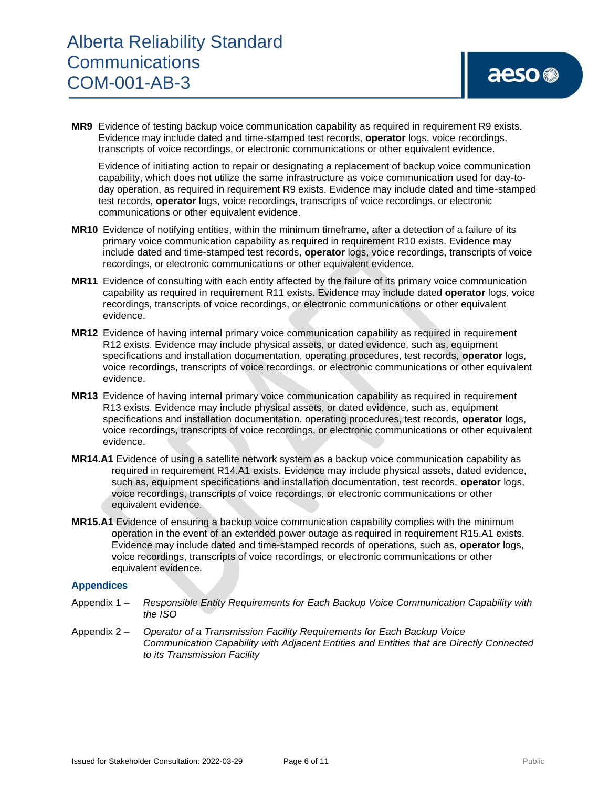**MR9** Evidence of testing backup voice communication capability as required in requirement R9 exists. Evidence may include dated and time-stamped test records, **operator** logs, voice recordings, transcripts of voice recordings, or electronic communications or other equivalent evidence.

Evidence of initiating action to repair or designating a replacement of backup voice communication capability, which does not utilize the same infrastructure as voice communication used for day-today operation, as required in requirement R9 exists. Evidence may include dated and time-stamped test records, **operator** logs, voice recordings, transcripts of voice recordings, or electronic communications or other equivalent evidence.

- **MR10** Evidence of notifying entities, within the minimum timeframe, after a detection of a failure of its primary voice communication capability as required in requirement R10 exists. Evidence may include dated and time-stamped test records, **operator** logs, voice recordings, transcripts of voice recordings, or electronic communications or other equivalent evidence.
- **MR11** Evidence of consulting with each entity affected by the failure of its primary voice communication capability as required in requirement R11 exists. Evidence may include dated **operator** logs, voice recordings, transcripts of voice recordings, or electronic communications or other equivalent evidence.
- **MR12** Evidence of having internal primary voice communication capability as required in requirement R12 exists. Evidence may include physical assets, or dated evidence, such as, equipment specifications and installation documentation, operating procedures, test records, **operator** logs, voice recordings, transcripts of voice recordings, or electronic communications or other equivalent evidence.
- **MR13** Evidence of having internal primary voice communication capability as required in requirement R13 exists. Evidence may include physical assets, or dated evidence, such as, equipment specifications and installation documentation, operating procedures, test records, **operator** logs, voice recordings, transcripts of voice recordings, or electronic communications or other equivalent evidence.
- **MR14.A1** Evidence of using a satellite network system as a backup voice communication capability as required in requirement R14.A1 exists. Evidence may include physical assets, dated evidence, such as, equipment specifications and installation documentation, test records, **operator** logs, voice recordings, transcripts of voice recordings, or electronic communications or other equivalent evidence.
- **MR15.A1** Evidence of ensuring a backup voice communication capability complies with the minimum operation in the event of an extended power outage as required in requirement R15.A1 exists. Evidence may include dated and time-stamped records of operations, such as, **operator** logs, voice recordings, transcripts of voice recordings, or electronic communications or other equivalent evidence.

#### **Appendices**

- Appendix 1 *Responsible Entity Requirements for Each Backup Voice Communication Capability with the ISO*
- Appendix 2 *Operator of a Transmission Facility Requirements for Each Backup Voice Communication Capability with Adjacent Entities and Entities that are Directly Connected to its Transmission Facility*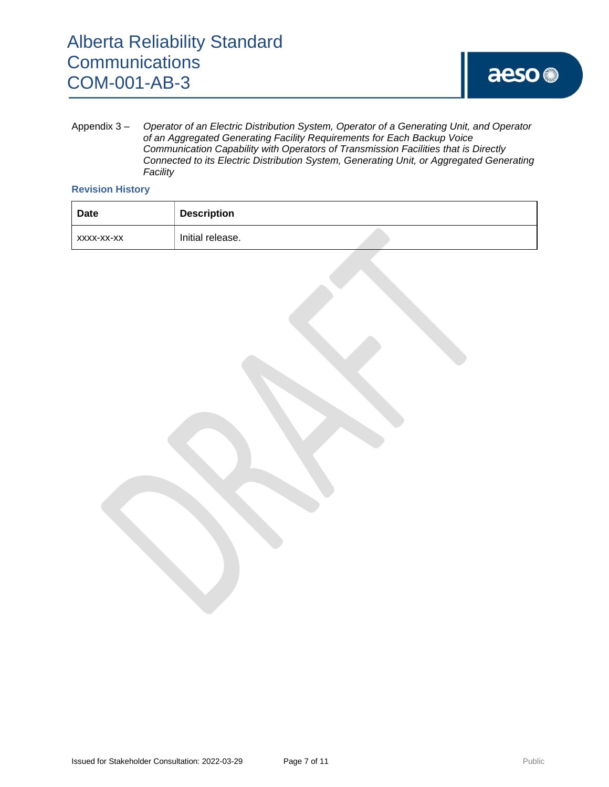Appendix 3 – *Operator of an Electric Distribution System, Operator of a Generating Unit, and Operator of an Aggregated Generating Facility Requirements for Each Backup Voice Communication Capability with Operators of Transmission Facilities that is Directly Connected to its Electric Distribution System, Generating Unit, or Aggregated Generating Facility*

#### **Revision History**

| Date       | <b>Description</b> |  |
|------------|--------------------|--|
| XXXX-XX-XX | Initial release.   |  |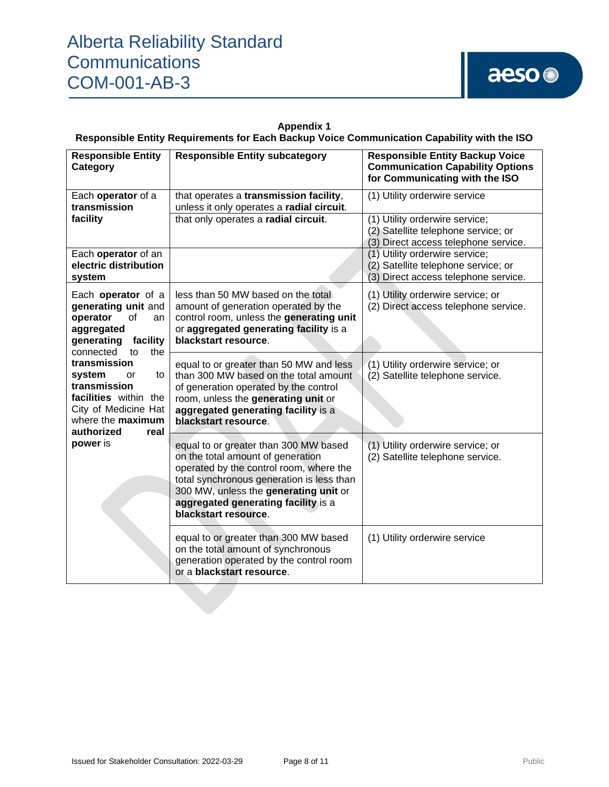**Appendix 1 Responsible Entity Requirements for Each Backup Voice Communication Capability with the ISO**

| <b>Responsible Entity</b><br>Category                                                                                                                                                                                                                                                             | <b>Responsible Entity subcategory</b>                                                                                                                                                                                                                                      | <b>Responsible Entity Backup Voice</b><br><b>Communication Capability Options</b><br>for Communicating with the ISO |
|---------------------------------------------------------------------------------------------------------------------------------------------------------------------------------------------------------------------------------------------------------------------------------------------------|----------------------------------------------------------------------------------------------------------------------------------------------------------------------------------------------------------------------------------------------------------------------------|---------------------------------------------------------------------------------------------------------------------|
| Each operator of a<br>transmission                                                                                                                                                                                                                                                                | that operates a transmission facility,<br>unless it only operates a radial circuit.                                                                                                                                                                                        | (1) Utility orderwire service                                                                                       |
| facility                                                                                                                                                                                                                                                                                          | that only operates a radial circuit.                                                                                                                                                                                                                                       | (1) Utility orderwire service;<br>(2) Satellite telephone service; or<br>(3) Direct access telephone service.       |
| Each operator of an<br>electric distribution<br>system                                                                                                                                                                                                                                            |                                                                                                                                                                                                                                                                            | (1) Utility orderwire service;<br>(2) Satellite telephone service; or<br>(3) Direct access telephone service.       |
| Each operator of a<br>generating unit and<br>of<br>operator<br>an<br>aggregated<br>generating<br>facility<br>connected<br>the<br>to<br>transmission<br>system<br>to<br>or<br>transmission<br>facilities within the<br>City of Medicine Hat<br>where the maximum<br>authorized<br>real<br>power is | less than 50 MW based on the total<br>amount of generation operated by the<br>control room, unless the generating unit<br>or aggregated generating facility is a<br>blackstart resource.                                                                                   | (1) Utility orderwire service; or<br>(2) Direct access telephone service.                                           |
|                                                                                                                                                                                                                                                                                                   | equal to or greater than 50 MW and less<br>than 300 MW based on the total amount<br>of generation operated by the control<br>room, unless the generating unit or<br>aggregated generating facility is a<br>blackstart resource.                                            | (1) Utility orderwire service; or<br>(2) Satellite telephone service.                                               |
|                                                                                                                                                                                                                                                                                                   | equal to or greater than 300 MW based<br>on the total amount of generation<br>operated by the control room, where the<br>total synchronous generation is less than<br>300 MW, unless the generating unit or<br>aggregated generating facility is a<br>blackstart resource. | (1) Utility orderwire service; or<br>(2) Satellite telephone service.                                               |
|                                                                                                                                                                                                                                                                                                   | equal to or greater than 300 MW based<br>on the total amount of synchronous<br>generation operated by the control room<br>or a blackstart resource.                                                                                                                        | (1) Utility orderwire service                                                                                       |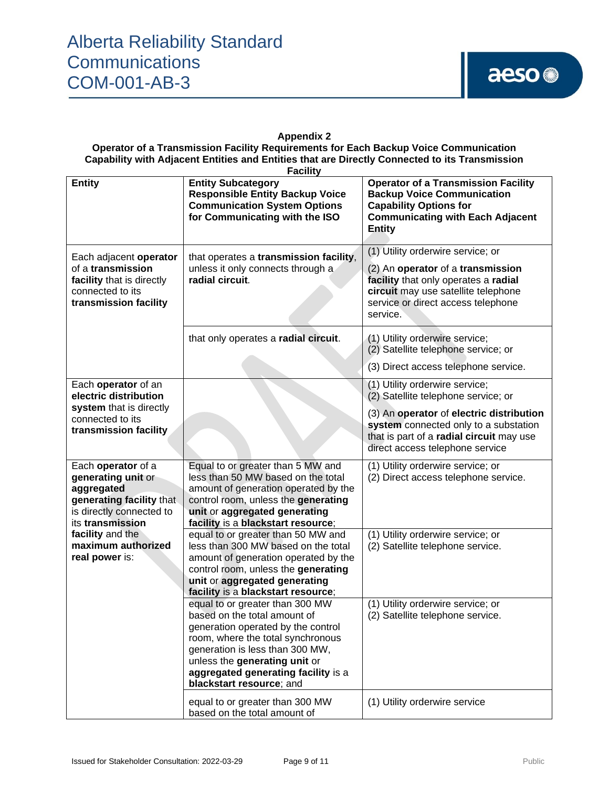#### **Appendix 2**

**Operator of a Transmission Facility Requirements for Each Backup Voice Communication Capability with Adjacent Entities and Entities that are Directly Connected to its Transmission Facility**

| <b>Entity</b>                                                                                                                      | $1$ uvint<br><b>Entity Subcategory</b><br><b>Responsible Entity Backup Voice</b><br><b>Communication System Options</b><br>for Communicating with the ISO                                                                                                                         | <b>Operator of a Transmission Facility</b><br><b>Backup Voice Communication</b><br><b>Capability Options for</b><br><b>Communicating with Each Adjacent</b><br><b>Entity</b>                                                              |
|------------------------------------------------------------------------------------------------------------------------------------|-----------------------------------------------------------------------------------------------------------------------------------------------------------------------------------------------------------------------------------------------------------------------------------|-------------------------------------------------------------------------------------------------------------------------------------------------------------------------------------------------------------------------------------------|
| Each adjacent operator<br>of a transmission<br>facility that is directly<br>connected to its<br>transmission facility              | that operates a transmission facility,<br>unless it only connects through a<br>radial circuit.                                                                                                                                                                                    | (1) Utility orderwire service; or<br>(2) An operator of a transmission<br>facility that only operates a radial<br>circuit may use satellite telephone<br>service or direct access telephone<br>service.                                   |
|                                                                                                                                    | that only operates a radial circuit.                                                                                                                                                                                                                                              | (1) Utility orderwire service;<br>(2) Satellite telephone service; or<br>(3) Direct access telephone service.                                                                                                                             |
| Each operator of an<br>electric distribution<br>system that is directly<br>connected to its<br>transmission facility               |                                                                                                                                                                                                                                                                                   | (1) Utility orderwire service;<br>(2) Satellite telephone service; or<br>(3) An operator of electric distribution<br>system connected only to a substation<br>that is part of a radial circuit may use<br>direct access telephone service |
| Each operator of a<br>generating unit or<br>aggregated<br>generating facility that<br>is directly connected to<br>its transmission | Equal to or greater than 5 MW and<br>less than 50 MW based on the total<br>amount of generation operated by the<br>control room, unless the generating<br>unit or aggregated generating<br>facility is a blackstart resource;                                                     | (1) Utility orderwire service; or<br>(2) Direct access telephone service.                                                                                                                                                                 |
| facility and the<br>maximum authorized<br>real power is:                                                                           | equal to or greater than 50 MW and<br>less than 300 MW based on the total<br>amount of generation operated by the<br>control room, unless the generating<br>unit or aggregated generating<br>facility is a blackstart resource;                                                   | (1) Utility orderwire service; or<br>(2) Satellite telephone service.                                                                                                                                                                     |
|                                                                                                                                    | equal to or greater than 300 MW<br>based on the total amount of<br>generation operated by the control<br>room, where the total synchronous<br>generation is less than 300 MW,<br>unless the generating unit or<br>aggregated generating facility is a<br>blackstart resource; and | (1) Utility orderwire service; or<br>(2) Satellite telephone service.                                                                                                                                                                     |
|                                                                                                                                    | equal to or greater than 300 MW<br>based on the total amount of                                                                                                                                                                                                                   | (1) Utility orderwire service                                                                                                                                                                                                             |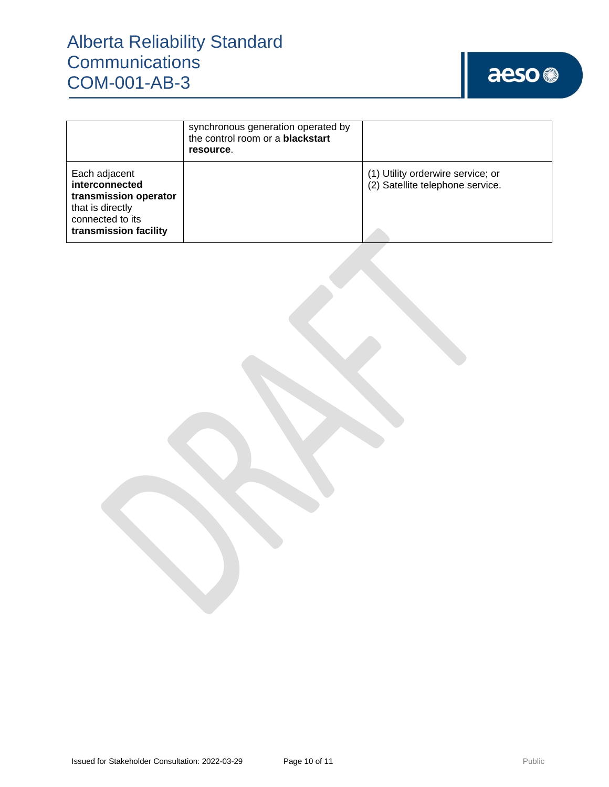### Alberta Reliability Standard **Communications** COM-001-AB-3

# aeso<sup>®</sup>

|                                                                                                                           | synchronous generation operated by<br>the control room or a <b>blackstart</b><br>resource. |                                                                       |
|---------------------------------------------------------------------------------------------------------------------------|--------------------------------------------------------------------------------------------|-----------------------------------------------------------------------|
| Each adjacent<br>interconnected<br>transmission operator<br>that is directly<br>connected to its<br>transmission facility |                                                                                            | (1) Utility orderwire service; or<br>(2) Satellite telephone service. |